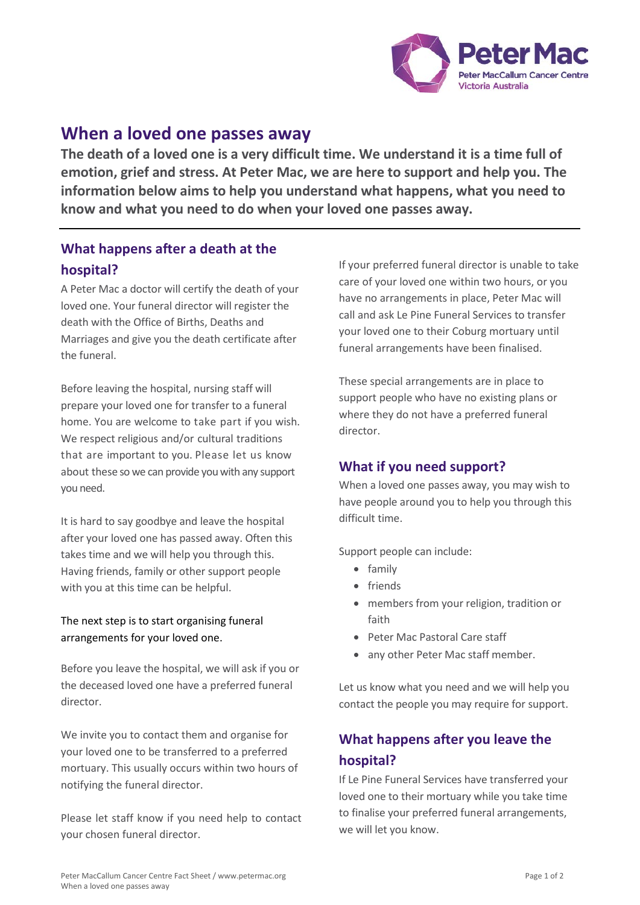

# **When a loved one passes away**

**The death of a loved one is a very difficult time. We understand it is a time full of emotion, grief and stress. At Peter Mac, we are here to support and help you. The information below aims to help you understand what happens, what you need to know and what you need to do when your loved one passes away.**

# **What happens after a death at the hospital?**

A Peter Mac a doctor will certify the death of your loved one. Your funeral director will register the death with the Office of Births, Deaths and Marriages and give you the death certificate after the funeral.

Before leaving the hospital, nursing staff will prepare your loved one for transfer to a funeral home. You are welcome to take part if you wish. We respect religious and/or cultural traditions that are important to you. Please let us know about these so we can provide you with any support you need.

It is hard to say goodbye and leave the hospital after your loved one has passed away. Often this takes time and we will help you through this. Having friends, family or other support people with you at this time can be helpful.

#### The next step is to start organising funeral arrangements for your loved one.

Before you leave the hospital, we will ask if you or the deceased loved one have a preferred funeral director.

We invite you to contact them and organise for your loved one to be transferred to a preferred mortuary. This usually occurs within two hours of notifying the funeral director.

Please let staff know if you need help to contact your chosen funeral director.

If your preferred funeral director is unable to take care of your loved one within two hours, or you have no arrangements in place, Peter Mac will call and ask Le Pine Funeral Services to transfer your loved one to their Coburg mortuary until funeral arrangements have been finalised.

These special arrangements are in place to support people who have no existing plans or where they do not have a preferred funeral director.

### **What if you need support?**

When a loved one passes away, you may wish to have people around you to help you through this difficult time.

Support people can include:

- family
- friends
- members from your religion, tradition or faith
- Peter Mac Pastoral Care staff
- any other Peter Mac staff member.

Let us know what you need and we will help you contact the people you may require for support.

# **What happens after you leave the hospital?**

If Le Pine Funeral Services have transferred your loved one to their mortuary while you take time to finalise your preferred funeral arrangements, we will let you know.